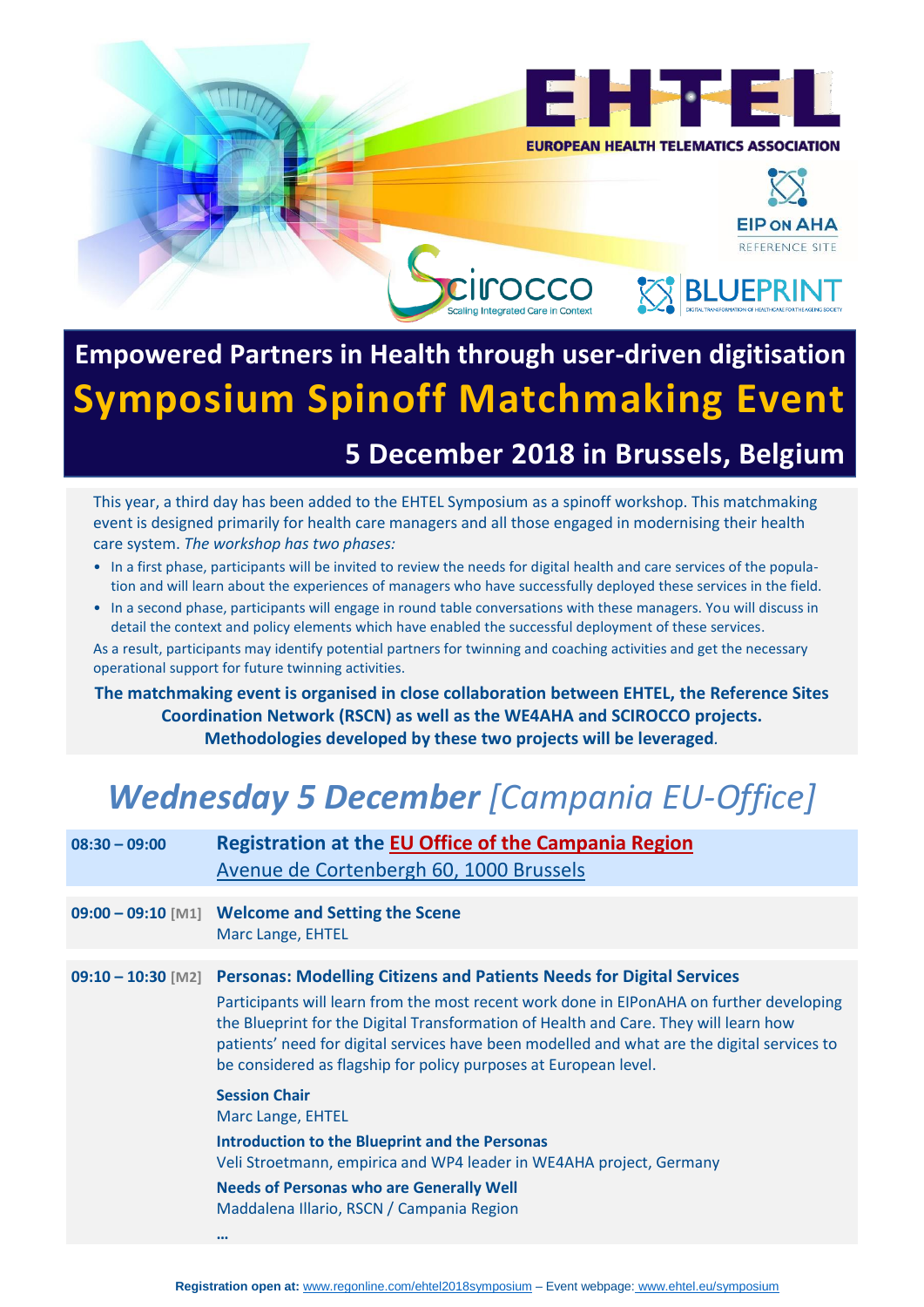

**EIP ON AHA** REFERENCE SITE

## **Empowered Partners in Health through user-driven digitisation Symposium Spinoff Matchmaking Event**

## **5 December 2018 in Brussels, Belgium**

This year, a third day has been added to the EHTEL Symposium as a spinoff workshop. This matchmaking event is designed primarily for health care managers and all those engaged in modernising their health care system. *The workshop has two phases:*

- In a first phase, participants will be invited to review the needs for digital health and care services of the population and will learn about the experiences of managers who have successfully deployed these services in the field.
- In a second phase, participants will engage in round table conversations with these managers. You will discuss in detail the context and policy elements which have enabled the successful deployment of these services.

As a result, participants may identify potential partners for twinning and coaching activities and get the necessary operational support for future twinning activities.

**The matchmaking event is organised in close collaboration between EHTEL, the Reference Sites Coordination Network (RSCN) as well as the WE4AHA and SCIROCCO projects. Methodologies developed by these two projects will be leveraged***.*

## *Wednesday 5 December [Campania EU-Office]*

| $08:30 - 09:00$      | <b>Registration at the EU Office of the Campania Region</b><br>Avenue de Cortenbergh 60, 1000 Brussels                                                                                                                                                                                                                                                                                                                                                     |
|----------------------|------------------------------------------------------------------------------------------------------------------------------------------------------------------------------------------------------------------------------------------------------------------------------------------------------------------------------------------------------------------------------------------------------------------------------------------------------------|
|                      | 09:00 - 09:10 [M1] Welcome and Setting the Scene<br>Marc Lange, EHTEL                                                                                                                                                                                                                                                                                                                                                                                      |
| $09:10 - 10:30$ [M2] | <b>Personas: Modelling Citizens and Patients Needs for Digital Services</b><br>Participants will learn from the most recent work done in EIPonAHA on further developing<br>the Blueprint for the Digital Transformation of Health and Care. They will learn how<br>patients' need for digital services have been modelled and what are the digital services to<br>be considered as flagship for policy purposes at European level.<br><b>Session Chair</b> |
|                      | Marc Lange, EHTEL<br>Introduction to the Blueprint and the Personas<br>Veli Stroetmann, empirica and WP4 leader in WE4AHA project, Germany<br><b>Needs of Personas who are Generally Well</b><br>Maddalena Illario, RSCN / Campania Region<br>$\bullet\bullet\bullet$                                                                                                                                                                                      |